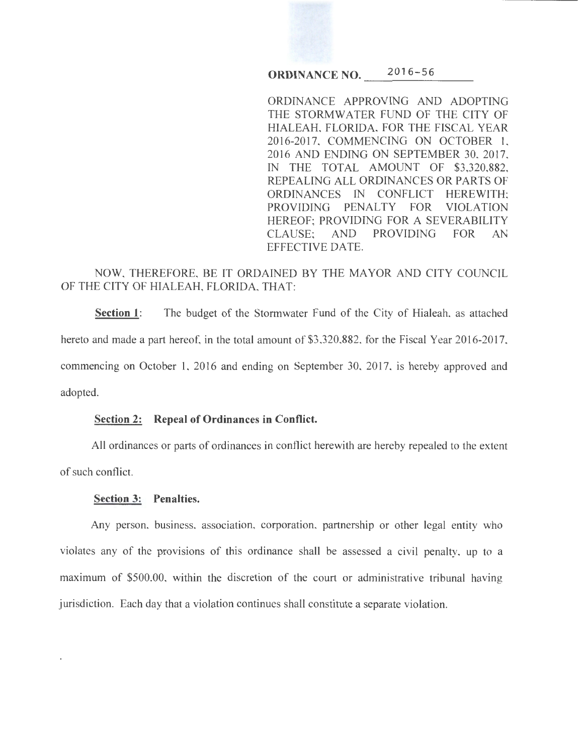# **ORDINANCE NO.**  $2016-56$

ORDINANCE APPROVING AND ADOPTING THE STORMWATER FUND OF THE CITY OF HIALEAH, FLORIDA, FOR THE FISCAL YEAR 2016-2017, COMMENCING ON OCTOBER 1, 2016 AND ENDING ON SEPTEMBER 30, 2017, IN THE TOTAL AMOUNT OF \$3,320,882, REPEALING ALL ORDINANCES OR PARTS OF ORDINANCES IN CONFLICT HEREWITH; PROVIDING PENALTY FOR VIOLATION HEREOF; PROVIDING FOR A SEVERABILITY CLAUSE; AND PROVIDING FOR AN EFFECTIVE DATE.

# NOW, THEREFORE, BE IT ORDAINED BY THE MAYOR AND CITY COUNCIL OF THE CITY OF HIALEAH, FLORIDA, THAT:

**Section 1:** The budget of the Stormwater Fund of the City of Hialeah, as attached hereto and made a part hereof, in the total amount of \$3,320,882, for the Fiscal Year 2016-2017, commencing on October I, 2016 and ending on September 30, 2017, is hereby approved and adopted.

### **Section 2: Repeal of Ordinances in Conflict.**

All ordinances or parts of ordinances in conflict herewith are hereby repealed to the extent of such conflict.

#### **Section 3: Penalties.**

Any person, business, association, corporation, partnership or other legal entity who violates any of the provisions of this ordinance shall be assessed a civil penalty, up to a maximum of \$500.00, within the discretion of the court or administrative tribunal having jurisdiction. Each day that a violation continues shall constitute a separate violation.